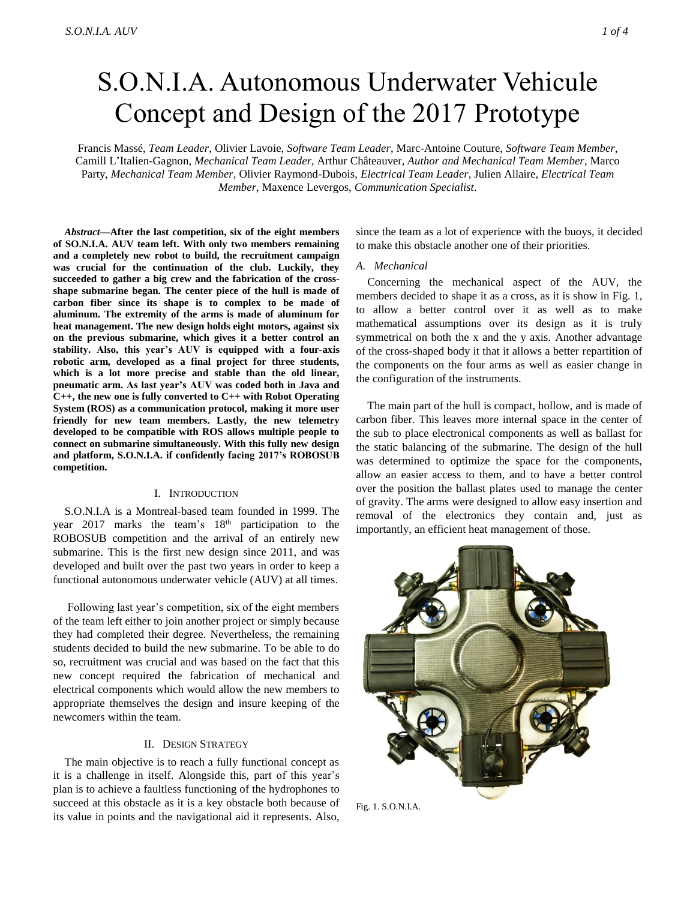# S.O.N.I.A. Autonomous Underwater Vehicule Concept and Design of the 2017 Prototype

Francis Massé, *Team Leader*, Olivier Lavoie, *Software Team Leader*, Marc-Antoine Couture, *Software Team Member*, Camill L'Italien-Gagnon, *Mechanical Team Leader*, Arthur Châteauver, *Author and Mechanical Team Member*, Marco Party, *Mechanical Team Member*, Olivier Raymond-Dubois, *Electrical Team Leader*, Julien Allaire, *Electrical Team Member*, Maxence Levergos, *Communication Specialist*.

*Abstract***—After the last competition, six of the eight members of SO.N.I.A. AUV team left. With only two members remaining and a completely new robot to build, the recruitment campaign was crucial for the continuation of the club. Luckily, they succeeded to gather a big crew and the fabrication of the crossshape submarine began. The center piece of the hull is made of carbon fiber since its shape is to complex to be made of aluminum. The extremity of the arms is made of aluminum for heat management. The new design holds eight motors, against six on the previous submarine, which gives it a better control an stability. Also, this year's AUV is equipped with a four-axis robotic arm, developed as a final project for three students, which is a lot more precise and stable than the old linear, pneumatic arm. As last year's AUV was coded both in Java and C++, the new one is fully converted to C++ with Robot Operating System (ROS) as a communication protocol, making it more user friendly for new team members. Lastly, the new telemetry developed to be compatible with ROS allows multiple people to connect on submarine simultaneously. With this fully new design and platform, S.O.N.I.A. if confidently facing 2017's ROBOSUB competition.** 

# I. INTRODUCTION

S.O.N.I.A is a Montreal-based team founded in 1999. The year 2017 marks the team's  $18<sup>th</sup>$  participation to the ROBOSUB competition and the arrival of an entirely new submarine. This is the first new design since 2011, and was developed and built over the past two years in order to keep a functional autonomous underwater vehicle (AUV) at all times.

Following last year's competition, six of the eight members of the team left either to join another project or simply because they had completed their degree. Nevertheless, the remaining students decided to build the new submarine. To be able to do so, recruitment was crucial and was based on the fact that this new concept required the fabrication of mechanical and electrical components which would allow the new members to appropriate themselves the design and insure keeping of the newcomers within the team.

# II. DESIGN STRATEGY

The main objective is to reach a fully functional concept as it is a challenge in itself. Alongside this, part of this year's plan is to achieve a faultless functioning of the hydrophones to succeed at this obstacle as it is a key obstacle both because of its value in points and the navigational aid it represents. Also,

since the team as a lot of experience with the buoys, it decided to make this obstacle another one of their priorities.

#### *A. Mechanical*

Concerning the mechanical aspect of the AUV, the members decided to shape it as a cross, as it is show in Fig. 1, to allow a better control over it as well as to make mathematical assumptions over its design as it is truly symmetrical on both the x and the y axis. Another advantage of the cross-shaped body it that it allows a better repartition of the components on the four arms as well as easier change in the configuration of the instruments.

The main part of the hull is compact, hollow, and is made of carbon fiber. This leaves more internal space in the center of the sub to place electronical components as well as ballast for the static balancing of the submarine. The design of the hull was determined to optimize the space for the components, allow an easier access to them, and to have a better control over the position the ballast plates used to manage the center of gravity. The arms were designed to allow easy insertion and removal of the electronics they contain and, just as importantly, an efficient heat management of those.

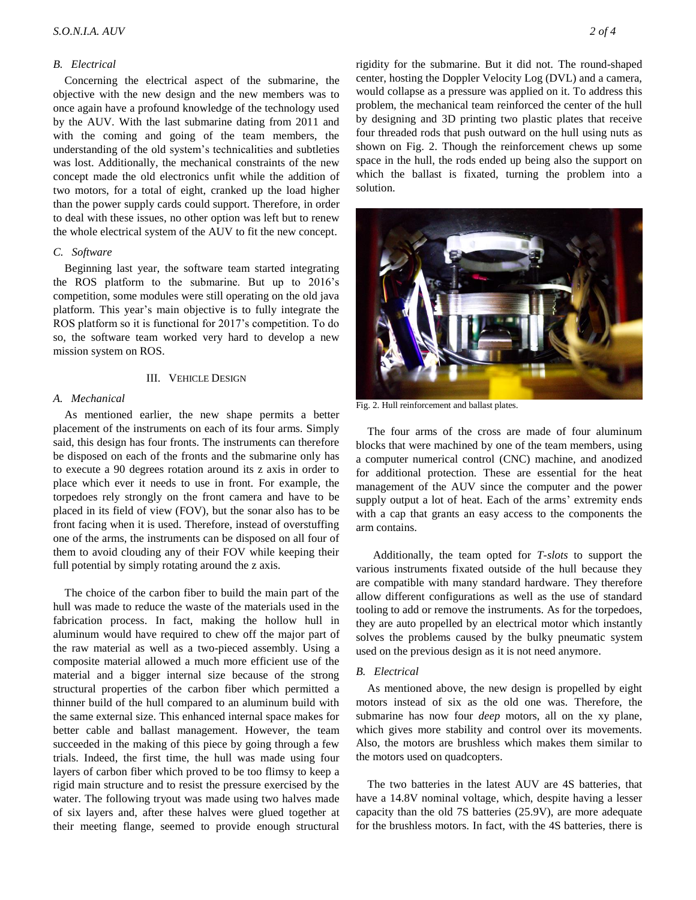# *B. Electrical*

Concerning the electrical aspect of the submarine, the objective with the new design and the new members was to once again have a profound knowledge of the technology used by the AUV. With the last submarine dating from 2011 and with the coming and going of the team members, the understanding of the old system's technicalities and subtleties was lost. Additionally, the mechanical constraints of the new concept made the old electronics unfit while the addition of two motors, for a total of eight, cranked up the load higher than the power supply cards could support. Therefore, in order to deal with these issues, no other option was left but to renew the whole electrical system of the AUV to fit the new concept.

## *C. Software*

Beginning last year, the software team started integrating the ROS platform to the submarine. But up to 2016's competition, some modules were still operating on the old java platform. This year's main objective is to fully integrate the ROS platform so it is functional for 2017's competition. To do so, the software team worked very hard to develop a new mission system on ROS.

## III. VEHICLE DESIGN

#### *A. Mechanical*

As mentioned earlier, the new shape permits a better placement of the instruments on each of its four arms. Simply said, this design has four fronts. The instruments can therefore be disposed on each of the fronts and the submarine only has to execute a 90 degrees rotation around its z axis in order to place which ever it needs to use in front. For example, the torpedoes rely strongly on the front camera and have to be placed in its field of view (FOV), but the sonar also has to be front facing when it is used. Therefore, instead of overstuffing one of the arms, the instruments can be disposed on all four of them to avoid clouding any of their FOV while keeping their full potential by simply rotating around the z axis.

The choice of the carbon fiber to build the main part of the hull was made to reduce the waste of the materials used in the fabrication process. In fact, making the hollow hull in aluminum would have required to chew off the major part of the raw material as well as a two-pieced assembly. Using a composite material allowed a much more efficient use of the material and a bigger internal size because of the strong structural properties of the carbon fiber which permitted a thinner build of the hull compared to an aluminum build with the same external size. This enhanced internal space makes for better cable and ballast management. However, the team succeeded in the making of this piece by going through a few trials. Indeed, the first time, the hull was made using four layers of carbon fiber which proved to be too flimsy to keep a rigid main structure and to resist the pressure exercised by the water. The following tryout was made using two halves made of six layers and, after these halves were glued together at their meeting flange, seemed to provide enough structural

rigidity for the submarine. But it did not. The round-shaped center, hosting the Doppler Velocity Log (DVL) and a camera, would collapse as a pressure was applied on it. To address this problem, the mechanical team reinforced the center of the hull by designing and 3D printing two plastic plates that receive four threaded rods that push outward on the hull using nuts as shown on Fig. 2. Though the reinforcement chews up some space in the hull, the rods ended up being also the support on which the ballast is fixated, turning the problem into a solution.



Fig. 2. Hull reinforcement and ballast plates.

The four arms of the cross are made of four aluminum blocks that were machined by one of the team members, using a computer numerical control (CNC) machine, and anodized for additional protection. These are essential for the heat management of the AUV since the computer and the power supply output a lot of heat. Each of the arms' extremity ends with a cap that grants an easy access to the components the arm contains.

 Additionally, the team opted for *T-slots* to support the various instruments fixated outside of the hull because they are compatible with many standard hardware. They therefore allow different configurations as well as the use of standard tooling to add or remove the instruments. As for the torpedoes, they are auto propelled by an electrical motor which instantly solves the problems caused by the bulky pneumatic system used on the previous design as it is not need anymore.

#### *B. Electrical*

As mentioned above, the new design is propelled by eight motors instead of six as the old one was. Therefore, the submarine has now four *deep* motors, all on the xy plane, which gives more stability and control over its movements. Also, the motors are brushless which makes them similar to the motors used on quadcopters.

The two batteries in the latest AUV are 4S batteries, that have a 14.8V nominal voltage, which, despite having a lesser capacity than the old 7S batteries (25.9V), are more adequate for the brushless motors. In fact, with the 4S batteries, there is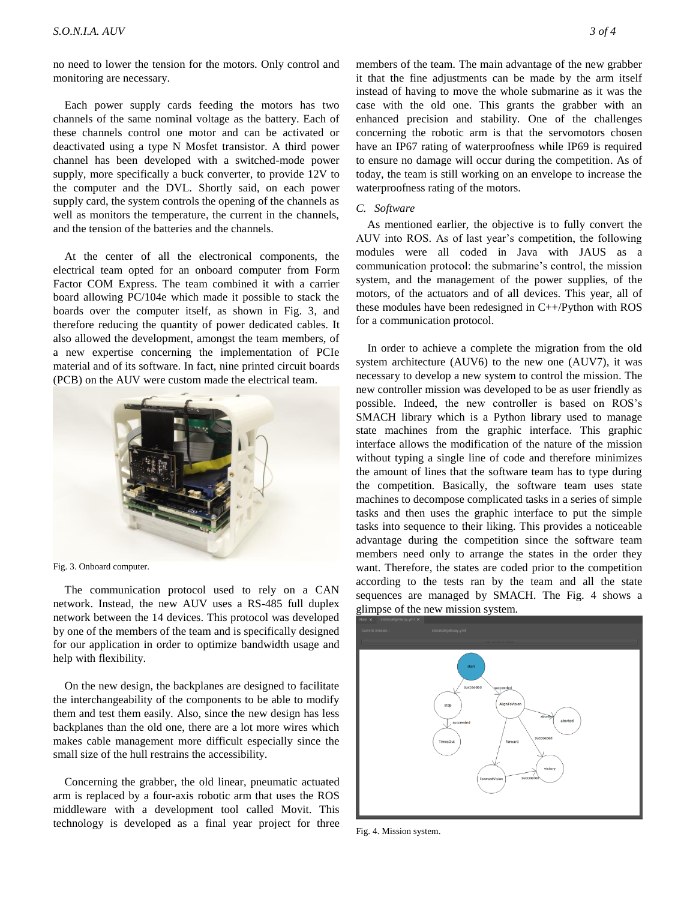no need to lower the tension for the motors. Only control and monitoring are necessary.

Each power supply cards feeding the motors has two channels of the same nominal voltage as the battery. Each of these channels control one motor and can be activated or deactivated using a type N Mosfet transistor. A third power channel has been developed with a switched-mode power supply, more specifically a buck converter, to provide 12V to the computer and the DVL. Shortly said, on each power supply card, the system controls the opening of the channels as well as monitors the temperature, the current in the channels, and the tension of the batteries and the channels.

At the center of all the electronical components, the electrical team opted for an onboard computer from Form Factor COM Express. The team combined it with a carrier board allowing PC/104e which made it possible to stack the boards over the computer itself, as shown in Fig. 3, and therefore reducing the quantity of power dedicated cables. It also allowed the development, amongst the team members, of a new expertise concerning the implementation of PCIe material and of its software. In fact, nine printed circuit boards (PCB) on the AUV were custom made the electrical team.



Fig. 3. Onboard computer.

The communication protocol used to rely on a CAN network. Instead, the new AUV uses a RS-485 full duplex network between the 14 devices. This protocol was developed by one of the members of the team and is specifically designed for our application in order to optimize bandwidth usage and help with flexibility.

On the new design, the backplanes are designed to facilitate the interchangeability of the components to be able to modify them and test them easily. Also, since the new design has less backplanes than the old one, there are a lot more wires which makes cable management more difficult especially since the small size of the hull restrains the accessibility.

Concerning the grabber, the old linear, pneumatic actuated arm is replaced by a four-axis robotic arm that uses the ROS middleware with a development tool called Movit. This technology is developed as a final year project for three members of the team. The main advantage of the new grabber it that the fine adjustments can be made by the arm itself instead of having to move the whole submarine as it was the case with the old one. This grants the grabber with an enhanced precision and stability. One of the challenges concerning the robotic arm is that the servomotors chosen have an IP67 rating of waterproofness while IP69 is required to ensure no damage will occur during the competition. As of today, the team is still working on an envelope to increase the waterproofness rating of the motors.

### *C. Software*

As mentioned earlier, the objective is to fully convert the AUV into ROS. As of last year's competition, the following modules were all coded in Java with JAUS as a communication protocol: the submarine's control, the mission system, and the management of the power supplies, of the motors, of the actuators and of all devices. This year, all of these modules have been redesigned in C++/Python with ROS for a communication protocol.

In order to achieve a complete the migration from the old system architecture (AUV6) to the new one (AUV7), it was necessary to develop a new system to control the mission. The new controller mission was developed to be as user friendly as possible. Indeed, the new controller is based on ROS's SMACH library which is a Python library used to manage state machines from the graphic interface. This graphic interface allows the modification of the nature of the mission without typing a single line of code and therefore minimizes the amount of lines that the software team has to type during the competition. Basically, the software team uses state machines to decompose complicated tasks in a series of simple tasks and then uses the graphic interface to put the simple tasks into sequence to their liking. This provides a noticeable advantage during the competition since the software team members need only to arrange the states in the order they want. Therefore, the states are coded prior to the competition according to the tests ran by the team and all the state sequences are managed by SMACH. The Fig. 4 shows a glimpse of the new mission system.



Fig. 4. Mission system.